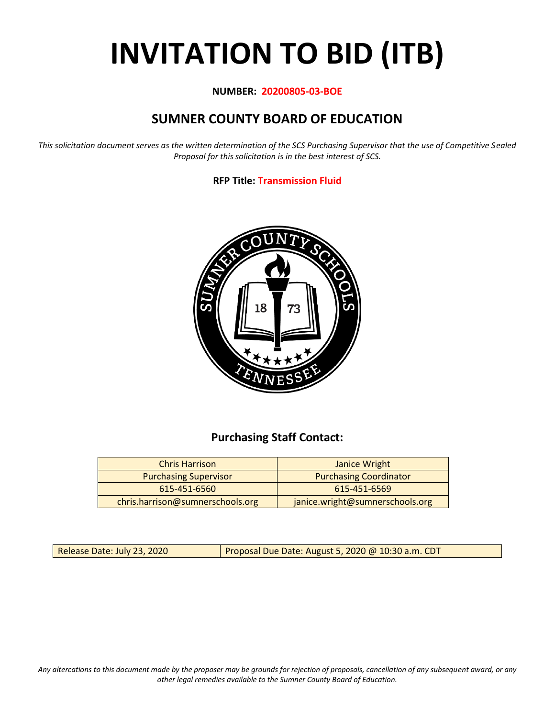# **INVITATION TO BID (ITB)**

### **NUMBER: 20200805-03-BOE**

# **SUMNER COUNTY BOARD OF EDUCATION**

*This solicitation document serves as the written determination of the SCS Purchasing Supervisor that the use of Competitive Sealed Proposal for this solicitation is in the best interest of SCS.*

## **RFP Title: Transmission Fluid**



# **Purchasing Staff Contact:**

| <b>Chris Harrison</b>            | Janice Wright                   |
|----------------------------------|---------------------------------|
| <b>Purchasing Supervisor</b>     | <b>Purchasing Coordinator</b>   |
| 615-451-6560                     | 615-451-6569                    |
| chris.harrison@sumnerschools.org | janice.wright@sumnerschools.org |

Release Date: July 23, 2020 **Proposal Due Date: August 5, 2020 @ 10:30 a.m. CDT** 

*Any altercations to this document made by the proposer may be grounds for rejection of proposals, cancellation of any subsequent award, or any other legal remedies available to the Sumner County Board of Education.*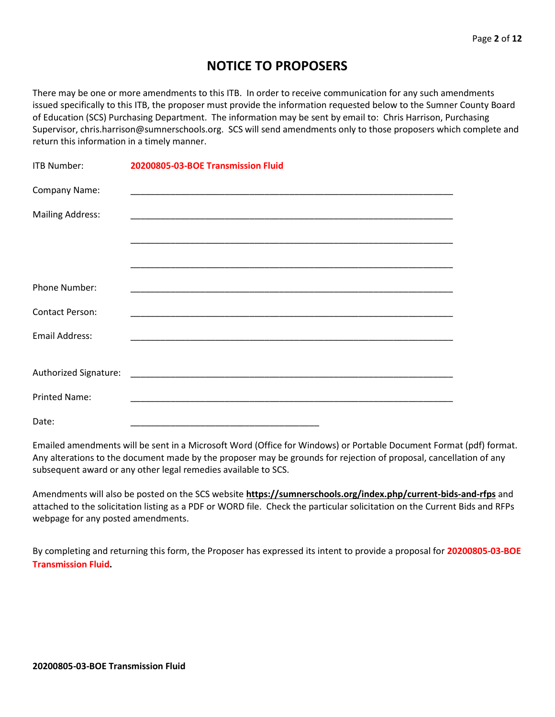# **NOTICE TO PROPOSERS**

There may be one or more amendments to this ITB. In order to receive communication for any such amendments issued specifically to this ITB, the proposer must provide the information requested below to the Sumner County Board of Education (SCS) Purchasing Department. The information may be sent by email to: Chris Harrison, Purchasing Supervisor, chris.harrison@sumnerschools.org. SCS will send amendments only to those proposers which complete and return this information in a timely manner.

| ITB Number:             | 20200805-03-BOE Transmission Fluid                          |
|-------------------------|-------------------------------------------------------------|
| Company Name:           |                                                             |
| <b>Mailing Address:</b> |                                                             |
|                         |                                                             |
|                         |                                                             |
| Phone Number:           |                                                             |
| <b>Contact Person:</b>  | <u> 1989 - Johann Stoff, amerikansk politiker (d. 1989)</u> |
| <b>Email Address:</b>   |                                                             |
|                         |                                                             |
|                         |                                                             |
| <b>Printed Name:</b>    |                                                             |
| Date:                   |                                                             |

Emailed amendments will be sent in a Microsoft Word (Office for Windows) or Portable Document Format (pdf) format. Any alterations to the document made by the proposer may be grounds for rejection of proposal, cancellation of any subsequent award or any other legal remedies available to SCS.

Amendments will also be posted on the SCS website **https://sumnerschools.org/index.php/current-bids-and-rfps** and attached to the solicitation listing as a PDF or WORD file. Check the particular solicitation on the Current Bids and RFPs webpage for any posted amendments.

By completing and returning this form, the Proposer has expressed its intent to provide a proposal for **20200805-03-BOE Transmission Fluid.**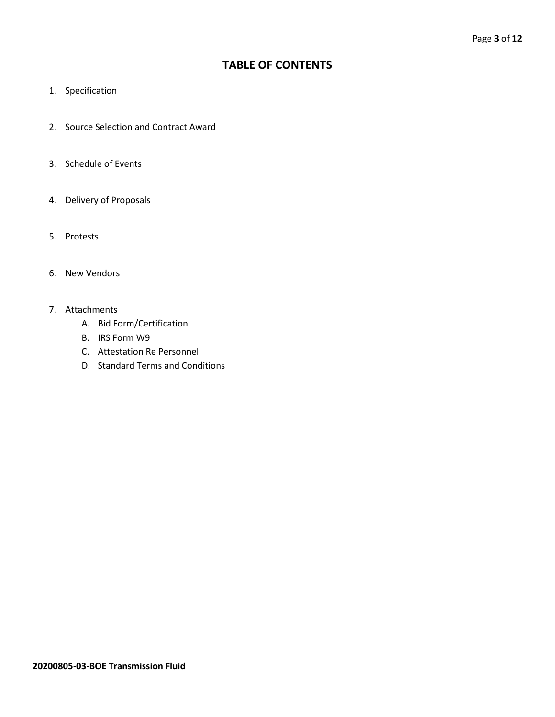## **TABLE OF CONTENTS**

- 1. Specification
- 2. Source Selection and Contract Award
- 3. Schedule of Events
- 4. Delivery of Proposals
- 5. Protests
- 6. New Vendors
- 7. Attachments
	- A. Bid Form/Certification
	- B. IRS Form W9
	- C. Attestation Re Personnel
	- D. Standard Terms and Conditions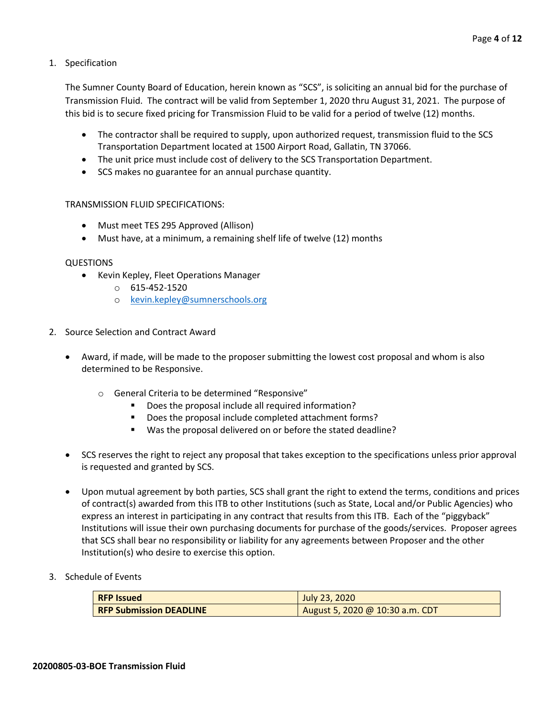1. Specification

The Sumner County Board of Education, herein known as "SCS", is soliciting an annual bid for the purchase of Transmission Fluid. The contract will be valid from September 1, 2020 thru August 31, 2021. The purpose of this bid is to secure fixed pricing for Transmission Fluid to be valid for a period of twelve (12) months.

- The contractor shall be required to supply, upon authorized request, transmission fluid to the SCS Transportation Department located at 1500 Airport Road, Gallatin, TN 37066.
- The unit price must include cost of delivery to the SCS Transportation Department.
- SCS makes no guarantee for an annual purchase quantity.

#### TRANSMISSION FLUID SPECIFICATIONS:

- Must meet TES 295 Approved (Allison)
- Must have, at a minimum, a remaining shelf life of twelve (12) months

#### QUESTIONS

- Kevin Kepley, Fleet Operations Manager
	- o 615-452-1520
	- o [kevin.kepley@sumnerschools.org](mailto:kevin.kepley@sumnerschools.org)
- 2. Source Selection and Contract Award
	- Award, if made, will be made to the proposer submitting the lowest cost proposal and whom is also determined to be Responsive.
		- o General Criteria to be determined "Responsive"
			- Does the proposal include all required information?
			- Does the proposal include completed attachment forms?
			- Was the proposal delivered on or before the stated deadline?
	- SCS reserves the right to reject any proposal that takes exception to the specifications unless prior approval is requested and granted by SCS.
	- Upon mutual agreement by both parties, SCS shall grant the right to extend the terms, conditions and prices of contract(s) awarded from this ITB to other Institutions (such as State, Local and/or Public Agencies) who express an interest in participating in any contract that results from this ITB. Each of the "piggyback" Institutions will issue their own purchasing documents for purchase of the goods/services. Proposer agrees that SCS shall bear no responsibility or liability for any agreements between Proposer and the other Institution(s) who desire to exercise this option.
- 3. Schedule of Events

| <b>RFP Issued</b>              | July 23, 2020                   |
|--------------------------------|---------------------------------|
| <b>RFP Submission DEADLINE</b> | August 5, 2020 @ 10:30 a.m. CDT |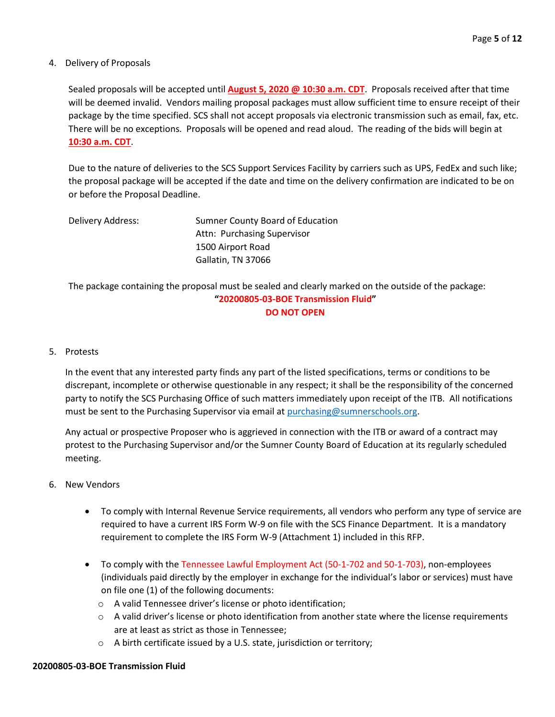#### 4. Delivery of Proposals

Sealed proposals will be accepted until **August 5, 2020 @ 10:30 a.m. CDT**. Proposals received after that time will be deemed invalid. Vendors mailing proposal packages must allow sufficient time to ensure receipt of their package by the time specified. SCS shall not accept proposals via electronic transmission such as email, fax, etc. There will be no exceptions. Proposals will be opened and read aloud. The reading of the bids will begin at **10:30 a.m. CDT**.

Due to the nature of deliveries to the SCS Support Services Facility by carriers such as UPS, FedEx and such like; the proposal package will be accepted if the date and time on the delivery confirmation are indicated to be on or before the Proposal Deadline.

| Delivery Address: | Sumner County Board of Education |
|-------------------|----------------------------------|
|                   | Attn: Purchasing Supervisor      |
|                   | 1500 Airport Road                |
|                   | Gallatin, TN 37066               |

The package containing the proposal must be sealed and clearly marked on the outside of the package: **"20200805-03-BOE Transmission Fluid" DO NOT OPEN**

#### 5. Protests

In the event that any interested party finds any part of the listed specifications, terms or conditions to be discrepant, incomplete or otherwise questionable in any respect; it shall be the responsibility of the concerned party to notify the SCS Purchasing Office of such matters immediately upon receipt of the ITB. All notifications must be sent to the Purchasing Supervisor via email at [purchasing@sumnerschools.org.](mailto:purchasing@sumnerschools.org)

Any actual or prospective Proposer who is aggrieved in connection with the ITB or award of a contract may protest to the Purchasing Supervisor and/or the Sumner County Board of Education at its regularly scheduled meeting.

- 6. New Vendors
	- To comply with Internal Revenue Service requirements, all vendors who perform any type of service are required to have a current IRS Form W-9 on file with the SCS Finance Department. It is a mandatory requirement to complete the IRS Form W-9 (Attachment 1) included in this RFP.
	- To comply with the Tennessee Lawful Employment Act (50-1-702 and 50-1-703), non-employees (individuals paid directly by the employer in exchange for the individual's labor or services) must have on file one (1) of the following documents:
		- o A valid Tennessee driver's license or photo identification;
		- $\circ$  A valid driver's license or photo identification from another state where the license requirements are at least as strict as those in Tennessee;
		- o A birth certificate issued by a U.S. state, jurisdiction or territory;

## **20200805-03-BOE Transmission Fluid**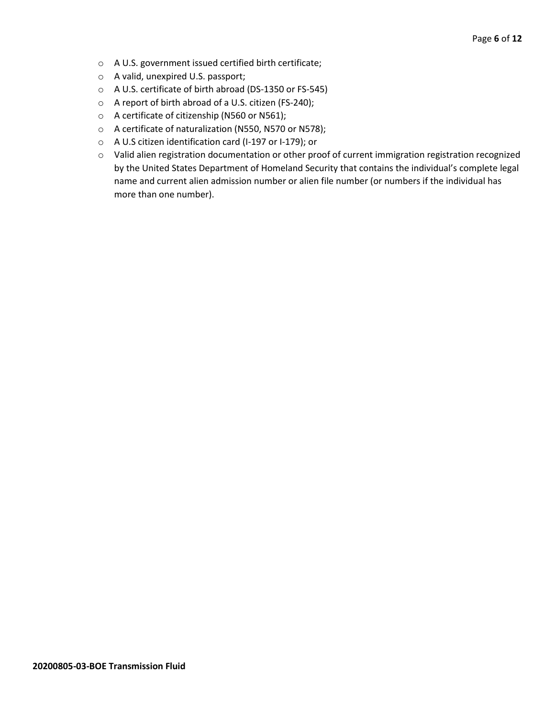- o A U.S. government issued certified birth certificate;
- o A valid, unexpired U.S. passport;
- o A U.S. certificate of birth abroad (DS-1350 or FS-545)
- o A report of birth abroad of a U.S. citizen (FS-240);
- o A certificate of citizenship (N560 or N561);
- o A certificate of naturalization (N550, N570 or N578);
- o A U.S citizen identification card (I-197 or I-179); or
- o Valid alien registration documentation or other proof of current immigration registration recognized by the United States Department of Homeland Security that contains the individual's complete legal name and current alien admission number or alien file number (or numbers if the individual has more than one number).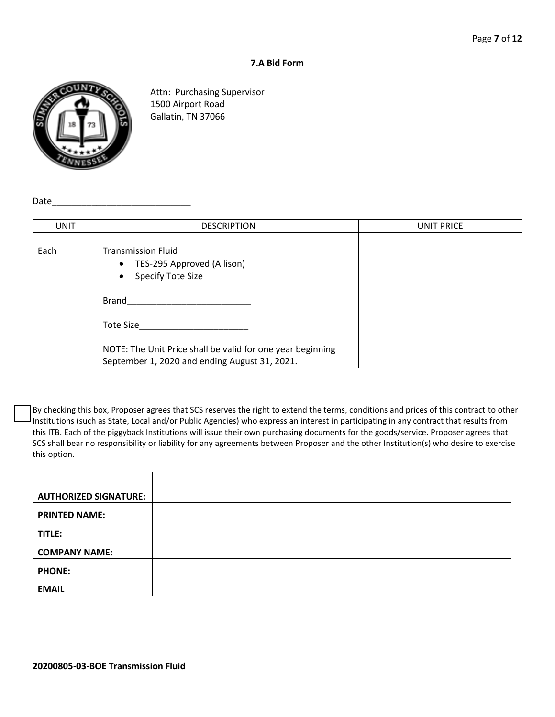#### **7.A Bid Form**



Attn: Purchasing Supervisor 1500 Airport Road Gallatin, TN 37066

Date

| <b>UNIT</b> | <b>DESCRIPTION</b>                                                                                          | UNIT PRICE |
|-------------|-------------------------------------------------------------------------------------------------------------|------------|
| Each        | <b>Transmission Fluid</b><br>• TES-295 Approved (Allison)<br>Specify Tote Size<br>$\bullet$                 |            |
|             | Brand                                                                                                       |            |
|             | Tote Size                                                                                                   |            |
|             | NOTE: The Unit Price shall be valid for one year beginning<br>September 1, 2020 and ending August 31, 2021. |            |

By checking this box, Proposer agrees that SCS reserves the right to extend the terms, conditions and prices of this contract to other Institutions (such as State, Local and/or Public Agencies) who express an interest in participating in any contract that results from this ITB. Each of the piggyback Institutions will issue their own purchasing documents for the goods/service. Proposer agrees that SCS shall bear no responsibility or liability for any agreements between Proposer and the other Institution(s) who desire to exercise this option.

| <b>AUTHORIZED SIGNATURE:</b> |  |
|------------------------------|--|
| <b>PRINTED NAME:</b>         |  |
| TITLE:                       |  |
| <b>COMPANY NAME:</b>         |  |
| <b>PHONE:</b>                |  |
| <b>EMAIL</b>                 |  |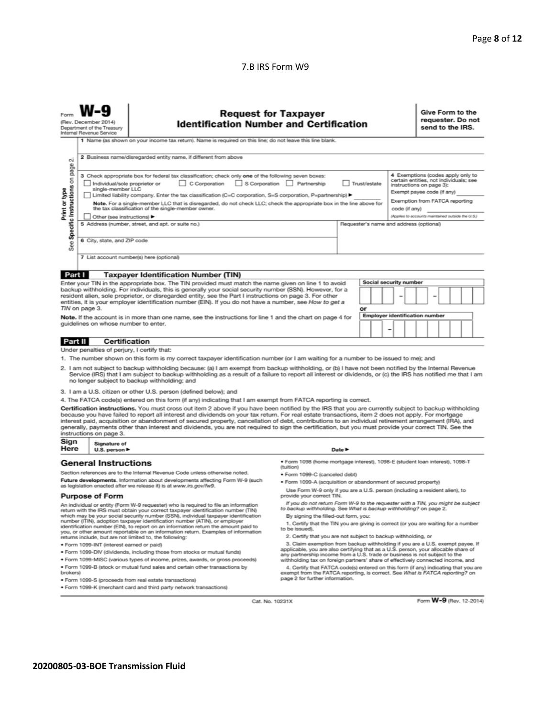#### 7.B IRS Form W9

| 2 Business name/disregarded entity name, if different from above<br>N<br>page<br>4 Exemptions (codes apply only to<br>3 Check appropriate box for federal tax classification; check only one of the following seven boxes:<br>Specific Instructions on<br>certain entities, not individuals; see<br>C Corporation<br>S Corporation Partnership<br>Trust/estate<br>Individual/sole proprietor or<br>instructions on page 3):<br>Print or type<br>single-member LLC<br>Exempt payee code (if any)<br>Limited liability company. Enter the tax classification (C=C corporation, S=S corporation, P=partnership) ▶<br>Exemption from FATCA reporting<br>Note. For a single-member LLC that is disregarded, do not check LLC; check the appropriate box in the line above for<br>the tax classification of the single-member owner.<br>code (if any)<br>(Applies to accounts maintained outside the U.S.)<br>Other (see instructions) ▶<br>5 Address (number, street, and apt. or suite no.)<br>Requester's name and address (optional)<br>6 City, state, and ZIP code<br>See<br>7 List account number(s) here (optional)<br>Part I<br><b>Taxpayer Identification Number (TIN)</b><br><b>Social security number</b><br>Enter your TIN in the appropriate box. The TIN provided must match the name given on line 1 to avoid<br>backup withholding. For individuals, this is generally your social security number (SSN). However, for a<br>resident alien, sole proprietor, or disregarded entity, see the Part I instructions on page 3. For other<br>entities, it is your employer identification number (EIN). If you do not have a number, see How to get a<br>TIN on page 3.<br>or<br><b>Employer identification number</b><br>Note. If the account is in more than one name, see the instructions for line 1 and the chart on page 4 for<br>guidelines on whose number to enter.<br><b>Certification</b><br>Part II<br>Under penalties of perjury, I certify that:<br>1. The number shown on this form is my correct taxpayer identification number (or I am waiting for a number to be issued to me); and<br>2. I am not subject to backup withholding because: (a) I am exempt from backup withholding, or (b) I have not been notified by the Internal Revenue<br>Service (IRS) that I am subject to backup withholding as a result of a failure to report all interest or dividends, or (c) the IRS has notified me that I am<br>no longer subject to backup withholding; and<br>3. I am a U.S. citizen or other U.S. person (defined below); and<br>4. The FATCA code(s) entered on this form (if any) indicating that I am exempt from FATCA reporting is correct.<br>Certification instructions. You must cross out item 2 above if you have been notified by the IRS that you are currently subject to backup withholding<br>because you have failed to report all interest and dividends on your tax return. For real estate transactions, item 2 does not apply. For mortgage<br>interest paid, acquisition or abandonment of secured property, cancellation of debt, contributions to an individual retirement arrangement (IRA), and<br>generally, payments other than interest and dividends, you are not required to sign the certification, but you must provide your correct TIN. See the<br>instructions on page 3.<br>Sign<br>Signature of<br>Here<br>U.S. person $\blacktriangleright$<br>Date $\blacktriangleright$<br><b>General Instructions</b><br>● Form 1098 (home mortgage interest), 1098-E (student loan interest), 1098-T<br>(tuition)<br>Section references are to the Internal Revenue Code unless otherwise noted.<br>· Form 1099-C (canceled debt)<br>Future developments. Information about developments affecting Form W-9 (such<br>. Form 1099-A (acquisition or abandonment of secured property)<br>as legislation enacted after we release it) is at www.irs.gov/fw9.<br>Use Form W-9 only if you are a U.S. person (including a resident alien), to<br><b>Purpose of Form</b><br>provide your correct TIN.<br>If you do not return Form W-9 to the requester with a TIN, you might be subject<br>An individual or entity (Form W-9 requester) who is required to file an information<br>to backup withholding. See What is backup withholding? on page 2.<br>return with the IRS must obtain your correct taxpayer identification number (TIN)<br>which may be your social security number (SSN), individual taxpayer identification<br>By signing the filled-out form, you:<br>number (ITIN), adoption taxpayer identification number (ATIN), or employer<br>1. Certify that the TIN you are giving is correct (or you are waiting for a number<br>identification number (EIN), to report on an information return the amount paid to<br>to be issued).<br>you, or other amount reportable on an information return. Examples of information<br>2. Certify that you are not subject to backup withholding, or<br>returns include, but are not limited to, the following:<br>3. Claim exemption from backup withholding if you are a U.S. exempt payee. If<br>· Form 1099-INT (interest earned or paid)<br>applicable, you are also certifying that as a U.S. person, your allocable share of<br>. Form 1099-DIV (dividends, including those from stocks or mutual funds)<br>any partnership income from a U.S. trade or business is not subject to the<br>* Form 1099-MISC (various types of income, prizes, awards, or gross proceeds)<br>withholding tax on foreign partners' share of effectively connected income, and<br>. Form 1099-B (stock or mutual fund sales and certain other transactions by<br>4. Certify that FATCA code(s) entered on this form (if any) indicating that you are<br>brokers)<br>exempt from the FATCA reporting, is correct. See What is FATCA reporting? on<br>page 2 for further information.<br>· Form 1099-S (proceeds from real estate transactions) |  | Give Form to the<br><b>Request for Taxpayer</b><br>requester. Do not<br>(Rev. December 2014)<br><b>Identification Number and Certification</b><br>send to the IRS.<br>Department of the Treasury<br>Internal Revenue Service<br>1 Name (as shown on your income tax return). Name is required on this line; do not leave this line blank. |  |  |  |  |  |  |  |
|------------------------------------------------------------------------------------------------------------------------------------------------------------------------------------------------------------------------------------------------------------------------------------------------------------------------------------------------------------------------------------------------------------------------------------------------------------------------------------------------------------------------------------------------------------------------------------------------------------------------------------------------------------------------------------------------------------------------------------------------------------------------------------------------------------------------------------------------------------------------------------------------------------------------------------------------------------------------------------------------------------------------------------------------------------------------------------------------------------------------------------------------------------------------------------------------------------------------------------------------------------------------------------------------------------------------------------------------------------------------------------------------------------------------------------------------------------------------------------------------------------------------------------------------------------------------------------------------------------------------------------------------------------------------------------------------------------------------------------------------------------------------------------------------------------------------------------------------------------------------------------------------------------------------------------------------------------------------------------------------------------------------------------------------------------------------------------------------------------------------------------------------------------------------------------------------------------------------------------------------------------------------------------------------------------------------------------------------------------------------------------------------------------------------------------------------------------------------------------------------------------------------------------------------------------------------------------------------------------------------------------------------------------------------------------------------------------------------------------------------------------------------------------------------------------------------------------------------------------------------------------------------------------------------------------------------------------------------------------------------------------------------------------------------------------------------------------------------------------------------------------------------------------------------------------------------------------------------------------------------------------------------------------------------------------------------------------------------------------------------------------------------------------------------------------------------------------------------------------------------------------------------------------------------------------------------------------------------------------------------------------------------------------------------------------------------------------------------------------------------------------------------------------------------------------------------------------------------------------------------------------------------------------------------------------------------------------------------------------------------------------------------------------------------------------------------------------------------------------------------------------------------------------------------------------------------------------------------------------------------------------------------------------------------------------------------------------------------------------------------------------------------------------------------------------------------------------------------------------------------------------------------------------------------------------------------------------------------------------------------------------------------------------------------------------------------------------------------------------------------------------------------------------------------------------------------------------------------------------------------------------------------------------------------------------------------------------------------------------------------------------------------------------------------------------------------------------------------------------------------------------------------------------------------------------------------------------------------------------------------------------------------------------------------------------------------------------------------------------------------------------------------------------------------------------------------------------------------------------------------------------------------------------------------------------------------------------------------------------------------------------------------------------------------------------------------------------------------------------------------------------------------------------------------------------------------------------------------------------------------------------------------------------------------------------|--|-------------------------------------------------------------------------------------------------------------------------------------------------------------------------------------------------------------------------------------------------------------------------------------------------------------------------------------------|--|--|--|--|--|--|--|
|                                                                                                                                                                                                                                                                                                                                                                                                                                                                                                                                                                                                                                                                                                                                                                                                                                                                                                                                                                                                                                                                                                                                                                                                                                                                                                                                                                                                                                                                                                                                                                                                                                                                                                                                                                                                                                                                                                                                                                                                                                                                                                                                                                                                                                                                                                                                                                                                                                                                                                                                                                                                                                                                                                                                                                                                                                                                                                                                                                                                                                                                                                                                                                                                                                                                                                                                                                                                                                                                                                                                                                                                                                                                                                                                                                                                                                                                                                                                                                                                                                                                                                                                                                                                                                                                                                                                                                                                                                                                                                                                                                                                                                                                                                                                                                                                                                                                                                                                                                                                                                                                                                                                                                                                                                                                                                                                                                                                                                                                                                                                                                                                                                                                                                                                                                                                                                                                                                                                    |  |                                                                                                                                                                                                                                                                                                                                           |  |  |  |  |  |  |  |
|                                                                                                                                                                                                                                                                                                                                                                                                                                                                                                                                                                                                                                                                                                                                                                                                                                                                                                                                                                                                                                                                                                                                                                                                                                                                                                                                                                                                                                                                                                                                                                                                                                                                                                                                                                                                                                                                                                                                                                                                                                                                                                                                                                                                                                                                                                                                                                                                                                                                                                                                                                                                                                                                                                                                                                                                                                                                                                                                                                                                                                                                                                                                                                                                                                                                                                                                                                                                                                                                                                                                                                                                                                                                                                                                                                                                                                                                                                                                                                                                                                                                                                                                                                                                                                                                                                                                                                                                                                                                                                                                                                                                                                                                                                                                                                                                                                                                                                                                                                                                                                                                                                                                                                                                                                                                                                                                                                                                                                                                                                                                                                                                                                                                                                                                                                                                                                                                                                                                    |  |                                                                                                                                                                                                                                                                                                                                           |  |  |  |  |  |  |  |
|                                                                                                                                                                                                                                                                                                                                                                                                                                                                                                                                                                                                                                                                                                                                                                                                                                                                                                                                                                                                                                                                                                                                                                                                                                                                                                                                                                                                                                                                                                                                                                                                                                                                                                                                                                                                                                                                                                                                                                                                                                                                                                                                                                                                                                                                                                                                                                                                                                                                                                                                                                                                                                                                                                                                                                                                                                                                                                                                                                                                                                                                                                                                                                                                                                                                                                                                                                                                                                                                                                                                                                                                                                                                                                                                                                                                                                                                                                                                                                                                                                                                                                                                                                                                                                                                                                                                                                                                                                                                                                                                                                                                                                                                                                                                                                                                                                                                                                                                                                                                                                                                                                                                                                                                                                                                                                                                                                                                                                                                                                                                                                                                                                                                                                                                                                                                                                                                                                                                    |  |                                                                                                                                                                                                                                                                                                                                           |  |  |  |  |  |  |  |
|                                                                                                                                                                                                                                                                                                                                                                                                                                                                                                                                                                                                                                                                                                                                                                                                                                                                                                                                                                                                                                                                                                                                                                                                                                                                                                                                                                                                                                                                                                                                                                                                                                                                                                                                                                                                                                                                                                                                                                                                                                                                                                                                                                                                                                                                                                                                                                                                                                                                                                                                                                                                                                                                                                                                                                                                                                                                                                                                                                                                                                                                                                                                                                                                                                                                                                                                                                                                                                                                                                                                                                                                                                                                                                                                                                                                                                                                                                                                                                                                                                                                                                                                                                                                                                                                                                                                                                                                                                                                                                                                                                                                                                                                                                                                                                                                                                                                                                                                                                                                                                                                                                                                                                                                                                                                                                                                                                                                                                                                                                                                                                                                                                                                                                                                                                                                                                                                                                                                    |  |                                                                                                                                                                                                                                                                                                                                           |  |  |  |  |  |  |  |
|                                                                                                                                                                                                                                                                                                                                                                                                                                                                                                                                                                                                                                                                                                                                                                                                                                                                                                                                                                                                                                                                                                                                                                                                                                                                                                                                                                                                                                                                                                                                                                                                                                                                                                                                                                                                                                                                                                                                                                                                                                                                                                                                                                                                                                                                                                                                                                                                                                                                                                                                                                                                                                                                                                                                                                                                                                                                                                                                                                                                                                                                                                                                                                                                                                                                                                                                                                                                                                                                                                                                                                                                                                                                                                                                                                                                                                                                                                                                                                                                                                                                                                                                                                                                                                                                                                                                                                                                                                                                                                                                                                                                                                                                                                                                                                                                                                                                                                                                                                                                                                                                                                                                                                                                                                                                                                                                                                                                                                                                                                                                                                                                                                                                                                                                                                                                                                                                                                                                    |  |                                                                                                                                                                                                                                                                                                                                           |  |  |  |  |  |  |  |
|                                                                                                                                                                                                                                                                                                                                                                                                                                                                                                                                                                                                                                                                                                                                                                                                                                                                                                                                                                                                                                                                                                                                                                                                                                                                                                                                                                                                                                                                                                                                                                                                                                                                                                                                                                                                                                                                                                                                                                                                                                                                                                                                                                                                                                                                                                                                                                                                                                                                                                                                                                                                                                                                                                                                                                                                                                                                                                                                                                                                                                                                                                                                                                                                                                                                                                                                                                                                                                                                                                                                                                                                                                                                                                                                                                                                                                                                                                                                                                                                                                                                                                                                                                                                                                                                                                                                                                                                                                                                                                                                                                                                                                                                                                                                                                                                                                                                                                                                                                                                                                                                                                                                                                                                                                                                                                                                                                                                                                                                                                                                                                                                                                                                                                                                                                                                                                                                                                                                    |  |                                                                                                                                                                                                                                                                                                                                           |  |  |  |  |  |  |  |
|                                                                                                                                                                                                                                                                                                                                                                                                                                                                                                                                                                                                                                                                                                                                                                                                                                                                                                                                                                                                                                                                                                                                                                                                                                                                                                                                                                                                                                                                                                                                                                                                                                                                                                                                                                                                                                                                                                                                                                                                                                                                                                                                                                                                                                                                                                                                                                                                                                                                                                                                                                                                                                                                                                                                                                                                                                                                                                                                                                                                                                                                                                                                                                                                                                                                                                                                                                                                                                                                                                                                                                                                                                                                                                                                                                                                                                                                                                                                                                                                                                                                                                                                                                                                                                                                                                                                                                                                                                                                                                                                                                                                                                                                                                                                                                                                                                                                                                                                                                                                                                                                                                                                                                                                                                                                                                                                                                                                                                                                                                                                                                                                                                                                                                                                                                                                                                                                                                                                    |  |                                                                                                                                                                                                                                                                                                                                           |  |  |  |  |  |  |  |
|                                                                                                                                                                                                                                                                                                                                                                                                                                                                                                                                                                                                                                                                                                                                                                                                                                                                                                                                                                                                                                                                                                                                                                                                                                                                                                                                                                                                                                                                                                                                                                                                                                                                                                                                                                                                                                                                                                                                                                                                                                                                                                                                                                                                                                                                                                                                                                                                                                                                                                                                                                                                                                                                                                                                                                                                                                                                                                                                                                                                                                                                                                                                                                                                                                                                                                                                                                                                                                                                                                                                                                                                                                                                                                                                                                                                                                                                                                                                                                                                                                                                                                                                                                                                                                                                                                                                                                                                                                                                                                                                                                                                                                                                                                                                                                                                                                                                                                                                                                                                                                                                                                                                                                                                                                                                                                                                                                                                                                                                                                                                                                                                                                                                                                                                                                                                                                                                                                                                    |  |                                                                                                                                                                                                                                                                                                                                           |  |  |  |  |  |  |  |
|                                                                                                                                                                                                                                                                                                                                                                                                                                                                                                                                                                                                                                                                                                                                                                                                                                                                                                                                                                                                                                                                                                                                                                                                                                                                                                                                                                                                                                                                                                                                                                                                                                                                                                                                                                                                                                                                                                                                                                                                                                                                                                                                                                                                                                                                                                                                                                                                                                                                                                                                                                                                                                                                                                                                                                                                                                                                                                                                                                                                                                                                                                                                                                                                                                                                                                                                                                                                                                                                                                                                                                                                                                                                                                                                                                                                                                                                                                                                                                                                                                                                                                                                                                                                                                                                                                                                                                                                                                                                                                                                                                                                                                                                                                                                                                                                                                                                                                                                                                                                                                                                                                                                                                                                                                                                                                                                                                                                                                                                                                                                                                                                                                                                                                                                                                                                                                                                                                                                    |  |                                                                                                                                                                                                                                                                                                                                           |  |  |  |  |  |  |  |
|                                                                                                                                                                                                                                                                                                                                                                                                                                                                                                                                                                                                                                                                                                                                                                                                                                                                                                                                                                                                                                                                                                                                                                                                                                                                                                                                                                                                                                                                                                                                                                                                                                                                                                                                                                                                                                                                                                                                                                                                                                                                                                                                                                                                                                                                                                                                                                                                                                                                                                                                                                                                                                                                                                                                                                                                                                                                                                                                                                                                                                                                                                                                                                                                                                                                                                                                                                                                                                                                                                                                                                                                                                                                                                                                                                                                                                                                                                                                                                                                                                                                                                                                                                                                                                                                                                                                                                                                                                                                                                                                                                                                                                                                                                                                                                                                                                                                                                                                                                                                                                                                                                                                                                                                                                                                                                                                                                                                                                                                                                                                                                                                                                                                                                                                                                                                                                                                                                                                    |  |                                                                                                                                                                                                                                                                                                                                           |  |  |  |  |  |  |  |
|                                                                                                                                                                                                                                                                                                                                                                                                                                                                                                                                                                                                                                                                                                                                                                                                                                                                                                                                                                                                                                                                                                                                                                                                                                                                                                                                                                                                                                                                                                                                                                                                                                                                                                                                                                                                                                                                                                                                                                                                                                                                                                                                                                                                                                                                                                                                                                                                                                                                                                                                                                                                                                                                                                                                                                                                                                                                                                                                                                                                                                                                                                                                                                                                                                                                                                                                                                                                                                                                                                                                                                                                                                                                                                                                                                                                                                                                                                                                                                                                                                                                                                                                                                                                                                                                                                                                                                                                                                                                                                                                                                                                                                                                                                                                                                                                                                                                                                                                                                                                                                                                                                                                                                                                                                                                                                                                                                                                                                                                                                                                                                                                                                                                                                                                                                                                                                                                                                                                    |  |                                                                                                                                                                                                                                                                                                                                           |  |  |  |  |  |  |  |
|                                                                                                                                                                                                                                                                                                                                                                                                                                                                                                                                                                                                                                                                                                                                                                                                                                                                                                                                                                                                                                                                                                                                                                                                                                                                                                                                                                                                                                                                                                                                                                                                                                                                                                                                                                                                                                                                                                                                                                                                                                                                                                                                                                                                                                                                                                                                                                                                                                                                                                                                                                                                                                                                                                                                                                                                                                                                                                                                                                                                                                                                                                                                                                                                                                                                                                                                                                                                                                                                                                                                                                                                                                                                                                                                                                                                                                                                                                                                                                                                                                                                                                                                                                                                                                                                                                                                                                                                                                                                                                                                                                                                                                                                                                                                                                                                                                                                                                                                                                                                                                                                                                                                                                                                                                                                                                                                                                                                                                                                                                                                                                                                                                                                                                                                                                                                                                                                                                                                    |  |                                                                                                                                                                                                                                                                                                                                           |  |  |  |  |  |  |  |
|                                                                                                                                                                                                                                                                                                                                                                                                                                                                                                                                                                                                                                                                                                                                                                                                                                                                                                                                                                                                                                                                                                                                                                                                                                                                                                                                                                                                                                                                                                                                                                                                                                                                                                                                                                                                                                                                                                                                                                                                                                                                                                                                                                                                                                                                                                                                                                                                                                                                                                                                                                                                                                                                                                                                                                                                                                                                                                                                                                                                                                                                                                                                                                                                                                                                                                                                                                                                                                                                                                                                                                                                                                                                                                                                                                                                                                                                                                                                                                                                                                                                                                                                                                                                                                                                                                                                                                                                                                                                                                                                                                                                                                                                                                                                                                                                                                                                                                                                                                                                                                                                                                                                                                                                                                                                                                                                                                                                                                                                                                                                                                                                                                                                                                                                                                                                                                                                                                                                    |  |                                                                                                                                                                                                                                                                                                                                           |  |  |  |  |  |  |  |
|                                                                                                                                                                                                                                                                                                                                                                                                                                                                                                                                                                                                                                                                                                                                                                                                                                                                                                                                                                                                                                                                                                                                                                                                                                                                                                                                                                                                                                                                                                                                                                                                                                                                                                                                                                                                                                                                                                                                                                                                                                                                                                                                                                                                                                                                                                                                                                                                                                                                                                                                                                                                                                                                                                                                                                                                                                                                                                                                                                                                                                                                                                                                                                                                                                                                                                                                                                                                                                                                                                                                                                                                                                                                                                                                                                                                                                                                                                                                                                                                                                                                                                                                                                                                                                                                                                                                                                                                                                                                                                                                                                                                                                                                                                                                                                                                                                                                                                                                                                                                                                                                                                                                                                                                                                                                                                                                                                                                                                                                                                                                                                                                                                                                                                                                                                                                                                                                                                                                    |  |                                                                                                                                                                                                                                                                                                                                           |  |  |  |  |  |  |  |
| . Form 1099-K (merchant card and third party network transactions)                                                                                                                                                                                                                                                                                                                                                                                                                                                                                                                                                                                                                                                                                                                                                                                                                                                                                                                                                                                                                                                                                                                                                                                                                                                                                                                                                                                                                                                                                                                                                                                                                                                                                                                                                                                                                                                                                                                                                                                                                                                                                                                                                                                                                                                                                                                                                                                                                                                                                                                                                                                                                                                                                                                                                                                                                                                                                                                                                                                                                                                                                                                                                                                                                                                                                                                                                                                                                                                                                                                                                                                                                                                                                                                                                                                                                                                                                                                                                                                                                                                                                                                                                                                                                                                                                                                                                                                                                                                                                                                                                                                                                                                                                                                                                                                                                                                                                                                                                                                                                                                                                                                                                                                                                                                                                                                                                                                                                                                                                                                                                                                                                                                                                                                                                                                                                                                                 |  |                                                                                                                                                                                                                                                                                                                                           |  |  |  |  |  |  |  |

Cat. No. 10231X

Form W-9 (Rev. 12-2014)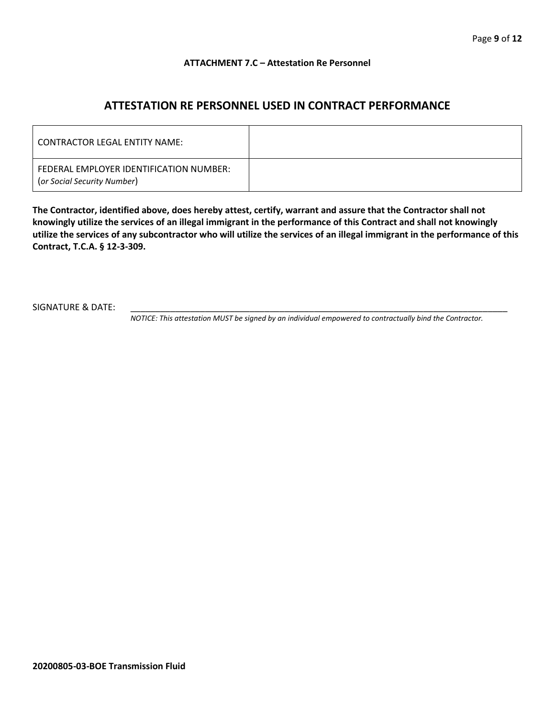#### **ATTACHMENT 7.C – Attestation Re Personnel**

## **ATTESTATION RE PERSONNEL USED IN CONTRACT PERFORMANCE**

| CONTRACTOR LEGAL ENTITY NAME:                                          |  |
|------------------------------------------------------------------------|--|
| FEDERAL EMPLOYER IDENTIFICATION NUMBER:<br>(or Social Security Number) |  |

**The Contractor, identified above, does hereby attest, certify, warrant and assure that the Contractor shall not knowingly utilize the services of an illegal immigrant in the performance of this Contract and shall not knowingly utilize the services of any subcontractor who will utilize the services of an illegal immigrant in the performance of this Contract, T.C.A. § 12-3-309.**

SIGNATURE & DATE:

*NOTICE: This attestation MUST be signed by an individual empowered to contractually bind the Contractor.*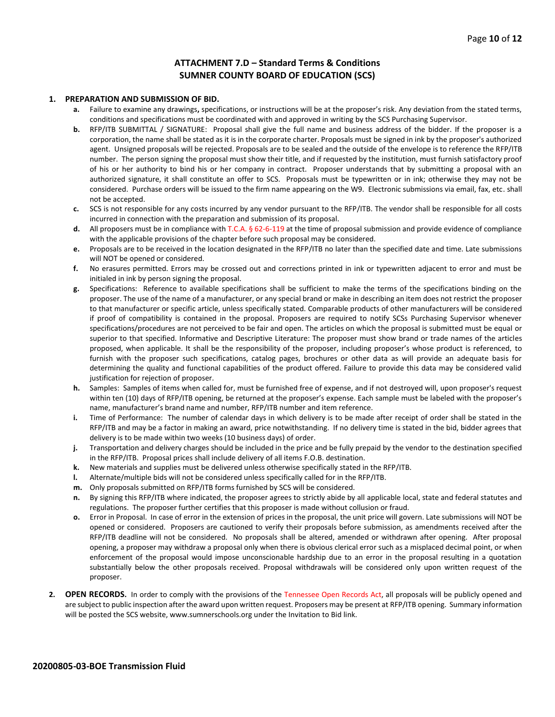#### **ATTACHMENT 7.D – Standard Terms & Conditions SUMNER COUNTY BOARD OF EDUCATION (SCS)**

#### **1. PREPARATION AND SUBMISSION OF BID.**

- **a.** Failure to examine any drawings**,** specifications, or instructions will be at the proposer's risk. Any deviation from the stated terms, conditions and specifications must be coordinated with and approved in writing by the SCS Purchasing Supervisor.
- **b.** RFP/ITB SUBMITTAL / SIGNATURE: Proposal shall give the full name and business address of the bidder. If the proposer is a corporation, the name shall be stated as it is in the corporate charter. Proposals must be signed in ink by the proposer's authorized agent. Unsigned proposals will be rejected. Proposals are to be sealed and the outside of the envelope is to reference the RFP/ITB number. The person signing the proposal must show their title, and if requested by the institution, must furnish satisfactory proof of his or her authority to bind his or her company in contract. Proposer understands that by submitting a proposal with an authorized signature, it shall constitute an offer to SCS. Proposals must be typewritten or in ink; otherwise they may not be considered. Purchase orders will be issued to the firm name appearing on the W9. Electronic submissions via email, fax, etc. shall not be accepted.
- **c.** SCS is not responsible for any costs incurred by any vendor pursuant to the RFP/ITB. The vendor shall be responsible for all costs incurred in connection with the preparation and submission of its proposal.
- **d.** All proposers must be in compliance with T.C.A. § 62-6-119 at the time of proposal submission and provide evidence of compliance with the applicable provisions of the chapter before such proposal may be considered.
- **e.** Proposals are to be received in the location designated in the RFP/ITB no later than the specified date and time. Late submissions will NOT be opened or considered.
- **f.** No erasures permitted. Errors may be crossed out and corrections printed in ink or typewritten adjacent to error and must be initialed in ink by person signing the proposal.
- **g.** Specifications: Reference to available specifications shall be sufficient to make the terms of the specifications binding on the proposer. The use of the name of a manufacturer, or any special brand or make in describing an item does not restrict the proposer to that manufacturer or specific article, unless specifically stated. Comparable products of other manufacturers will be considered if proof of compatibility is contained in the proposal. Proposers are required to notify SCSs Purchasing Supervisor whenever specifications/procedures are not perceived to be fair and open. The articles on which the proposal is submitted must be equal or superior to that specified. Informative and Descriptive Literature: The proposer must show brand or trade names of the articles proposed, when applicable. It shall be the responsibility of the proposer, including proposer's whose product is referenced, to furnish with the proposer such specifications, catalog pages, brochures or other data as will provide an adequate basis for determining the quality and functional capabilities of the product offered. Failure to provide this data may be considered valid justification for rejection of proposer.
- **h.** Samples: Samples of items when called for, must be furnished free of expense, and if not destroyed will, upon proposer's request within ten (10) days of RFP/ITB opening, be returned at the proposer's expense. Each sample must be labeled with the proposer's name, manufacturer's brand name and number, RFP/ITB number and item reference.
- **i.** Time of Performance: The number of calendar days in which delivery is to be made after receipt of order shall be stated in the RFP/ITB and may be a factor in making an award, price notwithstanding. If no delivery time is stated in the bid, bidder agrees that delivery is to be made within two weeks (10 business days) of order.
- **j.** Transportation and delivery charges should be included in the price and be fully prepaid by the vendor to the destination specified in the RFP/ITB. Proposal prices shall include delivery of all items F.O.B. destination.
- **k.** New materials and supplies must be delivered unless otherwise specifically stated in the RFP/ITB.
- **l.** Alternate/multiple bids will not be considered unless specifically called for in the RFP/ITB.
- **m.** Only proposals submitted on RFP/ITB forms furnished by SCS will be considered.
- **n.** By signing this RFP/ITB where indicated, the proposer agrees to strictly abide by all applicable local, state and federal statutes and regulations. The proposer further certifies that this proposer is made without collusion or fraud.
- **o.** Error in Proposal. In case of error in the extension of prices in the proposal, the unit price will govern. Late submissions will NOT be opened or considered. Proposers are cautioned to verify their proposals before submission, as amendments received after the RFP/ITB deadline will not be considered. No proposals shall be altered, amended or withdrawn after opening. After proposal opening, a proposer may withdraw a proposal only when there is obvious clerical error such as a misplaced decimal point, or when enforcement of the proposal would impose unconscionable hardship due to an error in the proposal resulting in a quotation substantially below the other proposals received. Proposal withdrawals will be considered only upon written request of the proposer.
- **2. OPEN RECORDS.** In order to comply with the provisions of the Tennessee Open Records Act, all proposals will be publicly opened and are subject to public inspection after the award upon written request. Proposers may be present at RFP/ITB opening. Summary information will be posted the SCS website, www.sumnerschools.org under the Invitation to Bid link.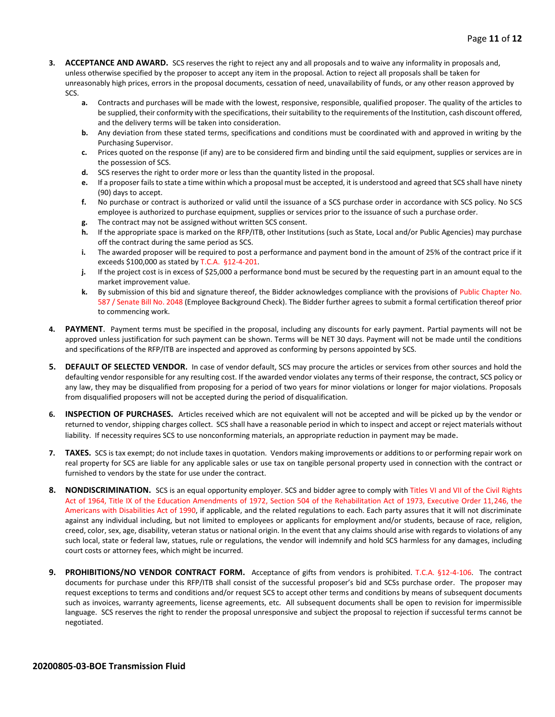- **3. ACCEPTANCE AND AWARD.** SCS reserves the right to reject any and all proposals and to waive any informality in proposals and, unless otherwise specified by the proposer to accept any item in the proposal. Action to reject all proposals shall be taken for unreasonably high prices, errors in the proposal documents, cessation of need, unavailability of funds, or any other reason approved by SCS.
	- **a.** Contracts and purchases will be made with the lowest, responsive, responsible, qualified proposer. The quality of the articles to be supplied, their conformity with the specifications, their suitability to the requirements of the Institution, cash discount offered, and the delivery terms will be taken into consideration.
	- **b.** Any deviation from these stated terms, specifications and conditions must be coordinated with and approved in writing by the Purchasing Supervisor.
	- **c.** Prices quoted on the response (if any) are to be considered firm and binding until the said equipment, supplies or services are in the possession of SCS.
	- **d.** SCS reserves the right to order more or less than the quantity listed in the proposal.
	- **e.** If a proposer fails to state a time within which a proposal must be accepted, it is understood and agreed that SCS shall have ninety (90) days to accept.
	- **f.** No purchase or contract is authorized or valid until the issuance of a SCS purchase order in accordance with SCS policy. No SCS employee is authorized to purchase equipment, supplies or services prior to the issuance of such a purchase order.
	- **g.** The contract may not be assigned without written SCS consent.
	- **h.** If the appropriate space is marked on the RFP/ITB, other Institutions (such as State, Local and/or Public Agencies) may purchase off the contract during the same period as SCS.
	- **i.** The awarded proposer will be required to post a performance and payment bond in the amount of 25% of the contract price if it exceeds \$100,000 as stated by T.C.A. §12-4-201.
	- **j.** If the project cost is in excess of \$25,000 a performance bond must be secured by the requesting part in an amount equal to the market improvement value.
	- **k.** By submission of this bid and signature thereof, the Bidder acknowledges compliance with the provisions of Public Chapter No. 587 / Senate Bill No. 2048 (Employee Background Check). The Bidder further agrees to submit a formal certification thereof prior to commencing work.
- **4. PAYMENT**. Payment terms must be specified in the proposal, including any discounts for early payment. Partial payments will not be approved unless justification for such payment can be shown. Terms will be NET 30 days. Payment will not be made until the conditions and specifications of the RFP/ITB are inspected and approved as conforming by persons appointed by SCS.
- **5. DEFAULT OF SELECTED VENDOR.** In case of vendor default, SCS may procure the articles or services from other sources and hold the defaulting vendor responsible for any resulting cost. If the awarded vendor violates any terms of their response, the contract, SCS policy or any law, they may be disqualified from proposing for a period of two years for minor violations or longer for major violations. Proposals from disqualified proposers will not be accepted during the period of disqualification.
- **6. INSPECTION OF PURCHASES.** Articles received which are not equivalent will not be accepted and will be picked up by the vendor or returned to vendor, shipping charges collect. SCS shall have a reasonable period in which to inspect and accept or reject materials without liability. If necessity requires SCS to use nonconforming materials, an appropriate reduction in payment may be made.
- **7. TAXES.** SCS is tax exempt; do not include taxes in quotation. Vendors making improvements or additions to or performing repair work on real property for SCS are liable for any applicable sales or use tax on tangible personal property used in connection with the contract or furnished to vendors by the state for use under the contract.
- **8. NONDISCRIMINATION.** SCS is an equal opportunity employer. SCS and bidder agree to comply with Titles VI and VII of the Civil Rights Act of 1964, Title IX of the Education Amendments of 1972, Section 504 of the Rehabilitation Act of 1973, Executive Order 11,246, the Americans with Disabilities Act of 1990, if applicable, and the related regulations to each. Each party assures that it will not discriminate against any individual including, but not limited to employees or applicants for employment and/or students, because of race, religion, creed, color, sex, age, disability, veteran status or national origin. In the event that any claims should arise with regards to violations of any such local, state or federal law, statues, rule or regulations, the vendor will indemnify and hold SCS harmless for any damages, including court costs or attorney fees, which might be incurred.
- **9. PROHIBITIONS/NO VENDOR CONTRACT FORM.** Acceptance of gifts from vendors is prohibited. T.C.A. §12-4-106. The contract documents for purchase under this RFP/ITB shall consist of the successful proposer's bid and SCSs purchase order. The proposer may request exceptions to terms and conditions and/or request SCS to accept other terms and conditions by means of subsequent documents such as invoices, warranty agreements, license agreements, etc. All subsequent documents shall be open to revision for impermissible language. SCS reserves the right to render the proposal unresponsive and subject the proposal to rejection if successful terms cannot be negotiated.